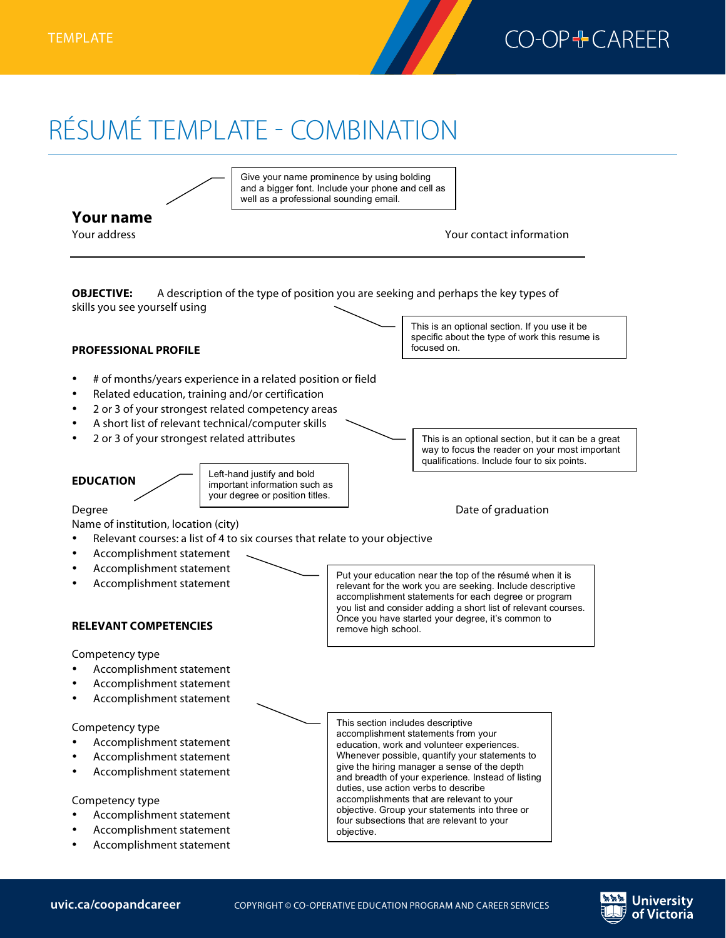

## RÉSUMÉ TEMPLATE - COMBINATION



**University** of Victoria